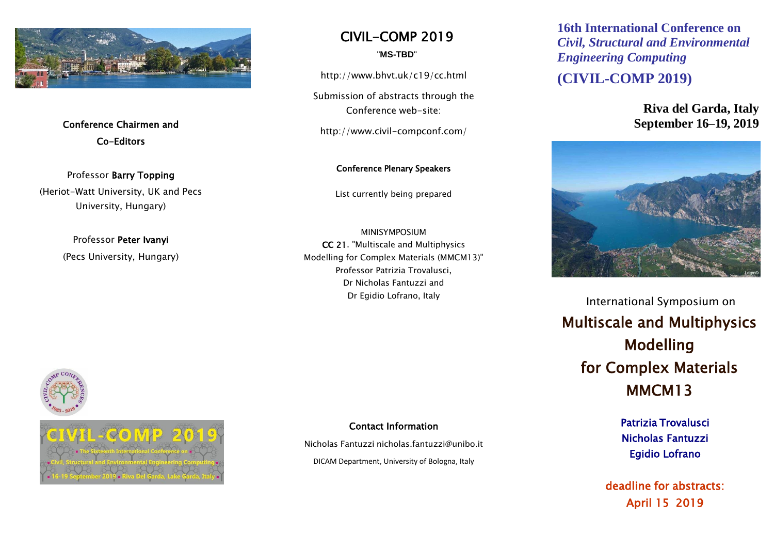

Conference Chairmen and Co-Editors

Professor Barry Topping (Heriot-Watt University, UK and Pecs University, Hungary)

> Professor Peter Ivanyi (Pecs University, Hungary)

CIVIL-COMP 2019

"**MS-TBD**"

http://www.bhvt.uk/c19/cc.html

Submission of abstracts through the Conference web-site:

http://www.civil-compconf.com/

Conference Plenary Speakers

List currently being prepared

MINISYMPOSIUM CC 21. "Multiscale and Multiphysics Modelling for Complex Materials (MMCM13)" Professor Patrizia Trovalusci, Dr Nicholas Fantuzzi and Dr Egidio Lofrano, Italy

Contact Information

Nicholas Fantuzzi nicholas.fantuzzi@unibo.it

DICAM Department, University of Bologna, Italy

**16th International Conference on**  *Civil, Structural and Environmental Engineering Computing*

**(CIVIL-COMP 2019)**

**Riva del Garda, Italy September 16–19, 2019**



International Symposium on Multiscale and Multiphysics Modelling for Complex Materials MMCM13

> Patrizia Trovalusci Nicholas Fantuzzi Egidio Lofrano

deadline for abstracts: April 15 2019